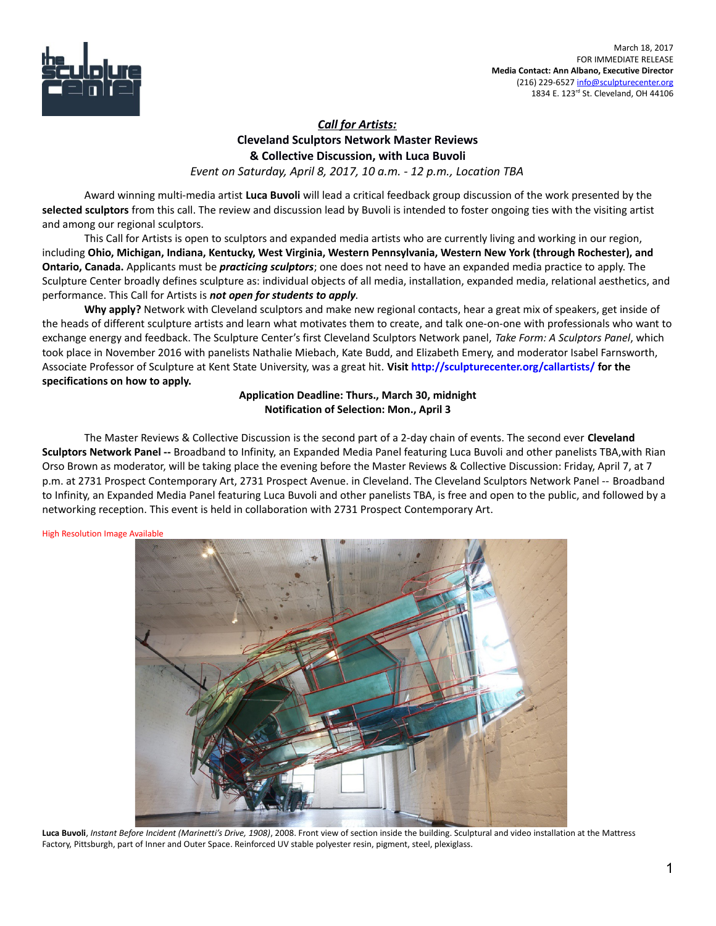

## *Call for Artists:*  **Cleveland Sculptors Network Master Reviews & Collective Discussion, with Luca Buvoli**

*Event on Saturday, April 8, 2017, 10 a.m. - 12 p.m., Location TBA*

Award winning multi-media artist **Luca Buvoli** will lead a critical feedback group discussion of the work presented by the **selected sculptors** from this call. The review and discussion lead by Buvoli is intended to foster ongoing ties with the visiting artist and among our regional sculptors.

This Call for Artists is open to sculptors and expanded media artists who are currently living and working in our region, including **Ohio, Michigan, Indiana, Kentucky, West Virginia, Western Pennsylvania, Western New York (through Rochester), and Ontario, Canada.** Applicants must be *practicing sculptors*; one does not need to have an expanded media practice to apply. The Sculpture Center broadly defines sculpture as: individual objects of all media, installation, expanded media, relational aesthetics, and performance. This Call for Artists is *not open for students to apply*.

**Why apply?** Network with Cleveland sculptors and make new regional contacts, hear a great mix of speakers, get inside of the heads of different sculpture artists and learn what motivates them to create, and talk one-on-one with professionals who want to exchange energy and feedback. The Sculpture Center's first Cleveland Sculptors Network panel, *Take Form: A Sculptors Panel*, which took place in November 2016 with panelists Nathalie Miebach, Kate Budd, and Elizabeth Emery, and moderator Isabel Farnsworth, Associate Professor of Sculpture at Kent State University, was a great hit. **Visit<http://sculpturecenter.org/callartists/>for the specifications on how to apply.** 

## **Application Deadline: Thurs., March 30, midnight Notification of Selection: Mon., April 3**

The Master Reviews & Collective Discussion is the second part of a 2-day chain of events. The second ever **Cleveland Sculptors Network Panel --** Broadband to Infinity, an Expanded Media Panel featuring Luca Buvoli and other panelists TBA,with Rian Orso Brown as moderator, will be taking place the evening before the Master Reviews & Collective Discussion: Friday, April 7, at 7 p.m. at 2731 Prospect Contemporary Art, 2731 Prospect Avenue. in Cleveland. The Cleveland Sculptors Network Panel -- Broadband to Infinity, an Expanded Media Panel featuring Luca Buvoli and other panelists TBA, is free and open to the public, and followed by a networking reception. This event is held in collaboration with 2731 Prospect Contemporary Art.

High Resolution Image Available



**Luca Buvoli**, *Instant Before Incident (Marinetti's Drive, 1908)*, 2008. Front view of section inside the building. Sculptural and video installation at the Mattress Factory, Pittsburgh, part of Inner and Outer Space. Reinforced UV stable polyester resin, pigment, steel, plexiglass.